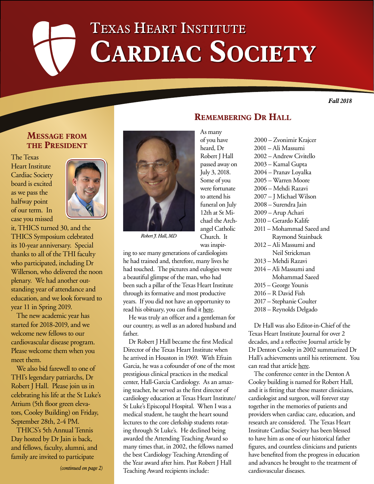# Texas Heart Institute CARDIAC SOCIETY

*Fall 2018*

## **Message from the President**

The Texas Heart Institute Cardiac Society board is excited as we pass the halfway point of our term. In case you missed



it, THICS turned 30, and the THICS Symposium celebrated its 10-year anniversary. Special thanks to all of the THI faculty who participated, including Dr Willerson, who delivered the noon plenary. We had another outstanding year of attendance and education, and we look forward to year 11 in Spring 2019.

The new academic year has started for 2018-2019, and we welcome new fellows to our cardiovascular disease program. Please welcome them when you meet them.

We also bid farewell to one of THI's legendary patriarchs, Dr Robert J Hall. Please join us in celebrating his life at the St Luke's Atrium (5th floor green elevators, Cooley Building) on Friday, September 28th, 2-4 PM.

THICS's 5th Annual Tennis Day hosted by Dr Jain is back, and fellows, faculty, alumni, and family are invited to participate

*(continued on page 2)*



*Robert J. Hall, MD*

was inspiring to see many generations of cardiologists he had trained and, therefore, many lives he had touched. The pictures and eulogies were a beautiful glimpse of the man, who had been such a pillar of the Texas Heart Institute through its formative and most productive years. If you did not have an opportunity to read his obituary, you can find it [here.](https://www.legacy.com/obituaries/houstonchronicle/obituary.aspx?n=robert-hall&pid=189488855&fhid=6290)

He was truly an officer and a gentleman for our country, as well as an adored husband and father.

Dr Robert J Hall became the first Medical Director of the Texas Heart Institute when he arrived in Houston in 1969. With Efrain Garcia, he was a cofounder of one of the most prestigious clinical practices in the medical center, Hall-Garcia Cardiology. As an amazing teacher, he served as the first director of cardiology education at Texas Heart Institute/ St Luke's Episcopal Hospital. When I was a medical student, he taught the heart sound lectures to the core clerkship students rotating through St Luke's. He declined being awarded the Attending Teaching Award so many times that, in 2002, the fellows named the best Cardiology Teaching Attending of the Year award after him. Past Robert J Hall Teaching Award recipients include:

# **Remembering Dr Hall**

As many of you have heard, Dr Robert J Hall passed away on July 3, 2018. Some of you were fortunate to attend his funeral on July 12th at St Michael the Archangel Catholic Church. It

2000 – Zvonimir Krajcer 2001 – Ali Massumi 2002 – Andrew Civitello 2003 – Kamal Gupta 2004 – Pranav Loyalka 2005 – Warren Moore 2006 – Mehdi Razavi 2007 – J Michael Wilson 2008 – Surendra Jain 2009 – Arup Achari 2010 – Gerardo Kalife 2011 – Mohammad Saeed and Raymond Stainback 2012 – Ali Massumi and Neil Strickman 2013 – Mehdi Razavi 2014 – Ali Massumi and Mohammad Saeed 2015 – George Younis 2016 – R David Fish 2017 – Stephanie Coulter 2018 – Reynolds Delgado

Dr Hall was also Editor-in-Chief of the Texas Heart Institute Journal for over 2 decades, and a reflective Journal article by Dr Denton Cooley in 2002 summarized Dr Hall's achievements until his retirement. You can read that article [here](https://www.ncbi.nlm.nih.gov/pmc/articles/PMC124752/).

The conference center in the Denton A Cooley building is named for Robert Hall, and it is fitting that these master clinicians, cardiologist and surgeon, will forever stay together in the memories of patients and providers when cardiac care, education, and research are considered. The Texas Heart Institute Cardiac Society has been blessed to have him as one of our historical father figures, and countless clinicians and patients have benefited from the progress in education and advances he brought to the treatment of cardiovascular diseases.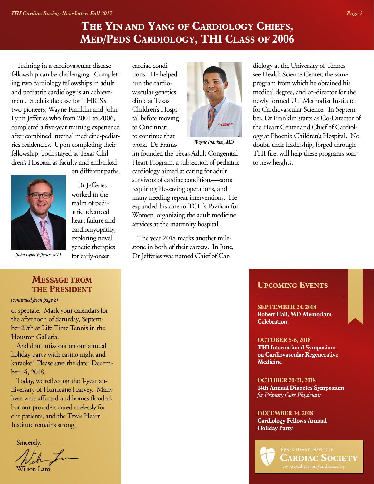# **The Yin and Yang of Cardiology Chiefs, Med/Peds Cardiology, THI Class of 2006**

Training in a cardiovascular disease fellowship can be challenging. Completing two cardiology fellowships in adult and pediatric cardiology is an achievement. Such is the case for THICS's two pioneers, Wayne Franklin and John Lynn Jefferies who from 2001 to 2006, completed a five-year training experience after combined internal medicine-pediatrics residencies. Upon completing their fellowship, both stayed at Texas Children's Hospital as faculty and embarked on different paths.



Dr Jefferies worked in the realm of pediatric advanced heart failure and cardiomyopathy, exploring novel genetic therapies for early-onset

*John Lynn Jefferies, MD*

### **Message from the President**

*(continued from page 2)*

or spectate. Mark your calendars for the afternoon of Saturday, September 29th at Life Time Tennis in the Houston Galleria.

And don't miss out on our annual holiday party with casino night and karaoke! Please save the date: December 14, 2018.

Today, we reflect on the 1-year anniversary of Hurricane Harvey. Many lives were affected and homes flooded, but our providers cared tirelessly for our patients, and the Texas Heart Institute remains strong!

Sincerely,

Wilson Lam

cardiac conditions. He helped run the cardiovascular genetics clinic at Texas Children's Hospital before moving to Cincinnati to continue that work. Dr Frank-



*Wayne Franklin, MD*

lin founded the Texas Adult Congenital Heart Program, a subsection of pediatric cardiology aimed at caring for adult survivors of cardiac conditions—some requiring life-saving operations, and many needing repeat interventions. He expanded his care to TCH's Pavilion for Women, organizing the adult medicine services at the maternity hospital.

The year 2018 marks another milestone in both of their careers. In June, Dr Jefferies was named Chief of Cardiology at the University of Tennessee Health Science Center, the same program from which he obtained his medical degree, and co-director for the newly formed UT Methodist Institute for Cardiovascular Science. In September, Dr Franklin starts as Co-Director of the Heart Center and Chief of Cardiology at Phoenix Children's Hospital. No doubt, their leadership, forged through THI fire, will help these programs soar to new heights.

#### **Upcoming Events**

**SEPTEMBER 28, 2018 Robert Hall, MD Memoriam Celebration**

**OCTOBER 5-6, 2018 THI International Symposium on Cardiovascular Regenerative Medicine**

**OCTOBER 20-21, 2018 14th Annual Diabetes Symposium** *for Primary Care Physicians*

**DECEMBER 14, 2018 Cardiology Fellows Annual Holiday Party**